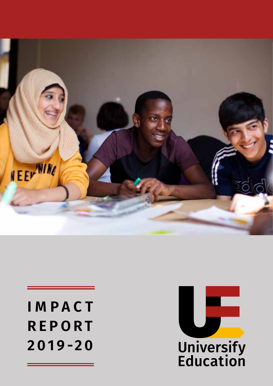

**IMPACT REPORT 2019-20**

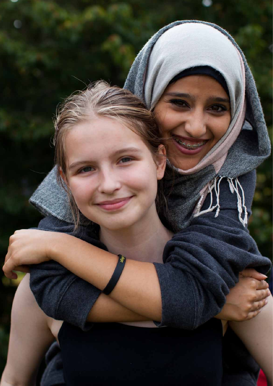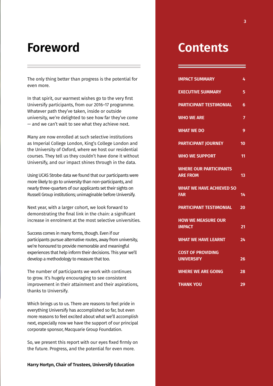### **Foreword Contents**

The only thing better than progress is the potential for even more.

In that spirit, our warmest wishes go to the very first Universify participants, from our 2016–17 programme. Whatever path they've taken, inside or outside university, we're delighted to see how far they've come — and we can't wait to see what they achieve next.

Many are now enrolled at such selective institutions as Imperial College London, King's College London and the University of Oxford, where we host our residential courses. They tell us they couldn't have done it without Universify, and our impact shines through in the data.

Using UCAS Strobe data we found that our participants were more likely to go to university than non-participants, and nearly three-quarters of our applicants set their sights on Russell Group institutions; unimaginable before Universify.

Next year, with a larger cohort, we look forward to demonstrating the final link in the chain: a significant increase in enrolment at the most selective universities.

Success comes in many forms, though. Even if our participants pursue alternative routes, away from university, we're honoured to provide memorable and meaningful experiences that help inform their decisions. This year we'll develop a methodology to measure that too.

The number of participants we work with continues to grow. It's hugely encouraging to see consistent improvement in their attainment and their aspirations, thanks to Universify.

Which brings us to us. There are reasons to feel pride in everything Universify has accomplished so far, but even more reasons to feel excited about what we'll accomplish next, especially now we have the support of our principal corporate sponsor, Macquarie Group Foundation.

So, we present this report with our eyes fixed firmly on the future. Progress, and the potential for even more.

#### **Harry Hortyn, Chair of Trustees, Universify Education**

| <b>IMPACT SUMMARY</b>                            | 4  |
|--------------------------------------------------|----|
| <b>EXECUTIVE SUMMARY</b>                         | 5  |
| <b>PARTICIPANT TESTIMONIAL</b>                   | 6  |
| <b>WHO WE ARE</b>                                | 7  |
| <b>WHAT WE DO</b>                                | 9  |
| <b>PARTICIPANT JOURNEY</b>                       | 10 |
| <b>WHO WE SUPPORT</b>                            | 11 |
| <b>WHERE OUR PARTICIPANTS</b><br><b>ARE FROM</b> | 13 |
| <b>WHAT WE HAVE ACHIEVED SO</b><br><b>FAR</b>    | 14 |
| <b>PARTICIPANT TESTIMONIAL</b>                   | 20 |
| <b>HOW WE MEASURE OUR</b><br><b>IMPACT</b>       | 21 |
| <b>WHAT WE HAVE LEARNT</b>                       | 24 |
| <b>COST OF PROVIDING</b><br><b>UNIVERSIFY</b>    | 26 |
| <b>WHERE WE ARE GOING</b>                        | 28 |
| <b>THANK YOU</b>                                 | 29 |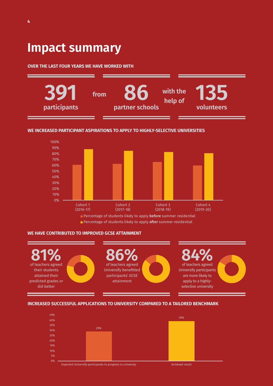### **Impact summary**

#### **OVER THE LAST FOUR YEARS WE HAVE WORKED WITH**



#### **WE INCREASED PARTICIPANT ASPIRATIONS TO APPLY TO HIGHLY-SELECTIVE UNIVERSITIES**



Percentage of students likely to apply **before** summer residential Percentage of students likely to apply **after** summer residential

#### **WE HAVE CONTRIBUTED TO IMPROVED GCSE ATTAINMENT**



#### **INCREASED SUCCESSFUL APPLICATIONS TO UNIVERSITY COMPARED TO A TAILORED BENCHMARK**

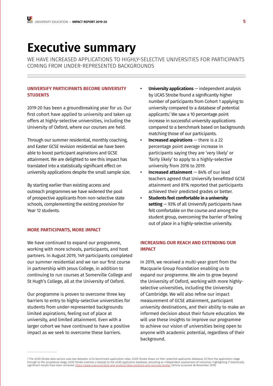# **Executive summary**

WE HAVE INCREASED APPLICATIONS TO HIGHLY-SELECTIVE UNIVERSITIES FOR PARTICIPANTS COMING FROM UNDER-REPRESENTED BACKGROUNDS

#### **UNIVERSIFY PARTICIPANTS BECOME UNIVERSITY STUDENTS**

2019-20 has been a groundbreaking year for us. Our first cohort have applied to university and taken up offers at highly-selective universities, including the University of Oxford, where our courses are held.

Through our summer residential, monthly coaching, and Easter GCSE revision residential we have been able to boost participant aspirations and GCSE attainment. We are delighted to see this impact has translated into a statistically significant effect on university applications despite the small sample size.

By starting earlier than existing access and outreach programmes we have widened the pool of prospective applicants from non-selective state schools, complementing the existing provision for Year 12 students.

#### **MORE PARTICIPANTS, MORE IMPACT**

We have continued to expand our programme, working with more schools, participants, and host partners. In August 2019, 149 participants completed our summer residential and we ran our first course in partnership with Jesus College, in addition to continuing to run courses at Somerville College and St Hugh's College, all at the University of Oxford.

Our programme is proven to overcome three key barriers to entry to highly-selective universities for students from under-represented backgrounds: limited aspirations, feeling out of place at university, and limited attainment. Even with a larger cohort we have continued to have a positive impact as we seek to overcome these barriers.

- **• University applications** independent analysis by UCAS Strobe found a significantly higher number of participants from Cohort 1 applying to university compared to a database of potential applicants.1 We saw a 10 percentage point increase in successful university applications compared to a benchmark based on backgrounds matching those of our participants.
- **• Increased aspirations** there is a 22 percentage point average increase in participants saying they are 'very likely' or 'fairly likely' to apply to a highly-selective university from 2016 to 2019.
- **• Increased attainment** 84% of our lead teachers agreed that Universify benefitted GCSE attainment and 81% reported that participants achieved their predicted grades or better.
- **• Students feel comfortable in a university setting** — 93% of all Universify participants have felt comfortable on the course and among the student group, overcoming the barrier of feeling out of place in a highly-selective university.

### **INCREASING OUR REACH AND EXTENDING OUR IMPACT**

In 2019, we received a multi-year grant from the Macquarie Group Foundation enabling us to expand our programme. We aim to grow beyond the University of Oxford, working with more highlyselective universities, including the University of Cambridge. We will also refine our impact measurement of GCSE attainment, participant university destinations, and their ability to make an informed decision about their future education. We will use these insights to improve our programme to achieve our vision of universities being open to anyone with academic potential, regardless of their background.

<sup>1</sup> The UCAS Strobe data service uses two datasets: a) to benchmark application rates, UCAS Strobe draws on their potential applicants database, b) from the application stage through to the acceptance stage, UCAS Strobe matches a dataset to the UCAS applicants database, providing an independent assessment of outcomes, highlighting if statistically<br>significant results have been achieved, https:/ significant results have been achieved. https://www.ucas.com/data-and-analystrobe.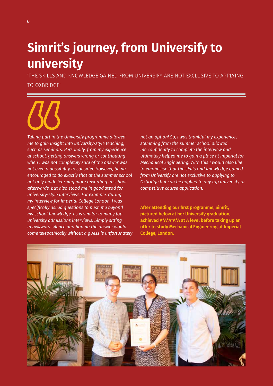# **Simrit's journey, from Universify to university**

'THE SKILLS AND KNOWLEDGE GAINED FROM UNIVERSIFY ARE NOT EXCLUSIVE TO APPLYING TO OXBRIDGE'

*Taking part in the Universify programme allowed me to gain insight into university-style teaching, such as seminars. Personally, from my experience at school, getting answers wrong or contributing when I was not completely sure of the answer was not even a possibility to consider. However, being encouraged to do exactly that at the summer school not only made learning more rewarding in school afterwards, but also stood me in good stead for university-style interviews. For example, during my interview for Imperial College London, I was specifically asked questions to push me beyond my school knowledge, as is similar to many top university admissions interviews. Simply sitting in awkward silence and hoping the answer would come telepathically without a guess is unfortunately*  *not an option! So, I was thankful my experiences stemming from the summer school allowed me confidently to complete the interview and ultimately helped me to gain a place at Imperial for Mechanical Engineering. With this I would also like to emphasise that the skills and knowledge gained from Universify are not exclusive to applying to Oxbridge but can be applied to any top university or competitive course application.*

**After attending our first programme, Simrit, pictured below at her Universify graduation, achieved A\*A\*A\*A\*A at A level before taking up an offer to study Mechanical Engineering at Imperial College, London.**

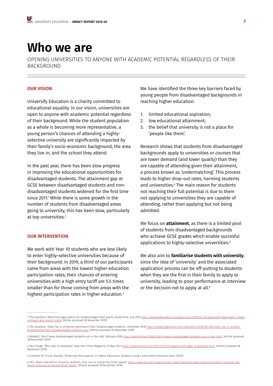### **Who we are**

OPENING UNIVERSITIES TO ANYONE WITH ACADEMIC POTENTIAL REGARDLESS OF THEIR BACKGROUND

#### **OUR VISION**

Universify Education is a charity committed to educational equality. In our vision, universities are open to anyone with academic potential regardless of their background. While the student population as a whole is becoming more representative, a young person's chances of attending a highlyselective university are significantly impacted by their family's socio-economic background, the area they live in, and the school they attend.

In the past year, there has been slow progress in improving the educational opportunities for disadvantaged students. The attainment gap at GCSE between disadvantaged students and nondisadvantaged students widened for the first time since 2011.1 While there is some growth in the number of students from disadvantaged areas going to university, this has been slow, particularly at top universities.<sup>2</sup>

#### **OUR INTERVENTION**

We work with Year 10 students who are less likely to enter highly-selective universities because of their background. In 2019, a third of our participants came from areas with the lowest higher education participation rates; their chances of entering universities with a high entry tariff are 5.5 times smaller than for those coming from areas with the highest participation rates in higher education.<sup>3</sup>

We have identified the three key barriers faced by young people from disadvantaged backgrounds in reaching higher education:

- 1. limited educational aspiration;
- 2. low educational attainment;
- 3. the belief that university is not a place for 'people like them'.

Research shows that students from disadvantaged backgrounds apply to universities or courses that are lower demand (and lower quality) than they are capable of attending given their attainment, a process known as 'undermatching'. This process leads to higher drop-out rates, harming students and universities.4 The main reason for students not reaching their full potential is due to them not applying to universities they are capable of attending, rather than applying but not being admitted.

We focus on **attainment**, as there is a limited pool of students from disadvantaged backgrounds who achieve GCSE grades which enable succesful applications to highly-selective universities.<sup>5</sup>

We also aim to **familiarise students with university**, since the idea of 'university' and the associated application process can be off-putting to students when they are the first in their family to apply to university, leading to poor performance at interview or the decision not to apply at all.<sup>6</sup>

<sup>1</sup> The Guardian, 'Attainment gap widens for disadvantaged GCSE pupils, study finds', July 2019 <u>https://www.theguardian.com/education/2019/jul/30/attainment-gap-widens-disad-</u><br><u>vantaged-gcse-pupils-study</u>. (Article accessed

<sup>2</sup> *The Guardian*, 'Slow rise in university admissions from disadvantaged students', December 2018 https://www.theguardian.com/education/2018/dec/06/slow-rise-in-universions-from-disadvantaged-students-ucas. (Article accessed 28 November 2019)

<sup>3</sup> *WonkHE*, 'Don't leave disadvantaged students out in the cold', February 2018 https://wonkhe.com/blogs/dont-leave-disadvantaged-students-out-in-the-cold/. (Article accessed 28 November 2019)

<sup>4</sup> Paul Tough, 'Who Gets to Graduate?', New York Times Magazine, 15 May 2014 https://www.nytimes.com/2014/05/18/magazine/who-gets-to-graduate.html. (Article accessed 28 November 2019)

<sup>5</sup> Institute for Fiscal Studies, 'Widening Participation in Higher Education: Analysis using Linked Administrative Data' (2010).

<sup>6</sup> TES, 'Black and ethnic minority students miss out on university, finds report', https://www.tes.com/news/school-news/breaking-news/black-and-ethnic-minority-stumiss-out-university-finds-report. (Article accessed 28 November 2019)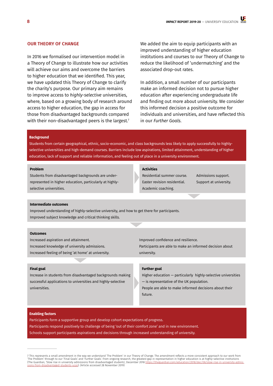#### **OUR THEORY OF CHANGE**

In 2016 we formalised our intervention model in a Theory of Change to illustrate how our activities will achieve our aims and overcome the barriers to higher education that we identified. This year, we have updated this Theory of Change to clarify the charity's purpose. Our primary aim remains to improve access to *highly-selective* universities, where, based on a growing body of research around access to higher education, the gap in access for those from disadvantaged backgrounds compared with their non-disadvantaged peers is the largest.<sup>7</sup>

We added the aim to equip participants with an improved understanding of higher education institutions and courses to our Theory of Change to reduce the likelihood of 'undermatching' and the associated drop-out rates.

In addition, a small number of our participants make an informed decision not to pursue higher education after experiencing undergraduate life and finding out more about university. We consider this informed decision a positive outcome for individuals and universities, and have reflected this in our *Further Goals*.

#### **Background**

Students from certain geographical, ethnic, socio-economic, and class backgrounds less likely to apply successfully to highlyselective universities and high-demand courses. Barriers include low aspirations, limited attainment, understanding of higher education, lack of support and reliable information, and feeling out of place in a university environment.

#### **Problem**

Students from disadvantaged backgrounds are underrepresented in higher education, particularly at highlyselective universities.

#### **Activities**

Residential summer course. Easter revision residential. Academic coaching.

Admissions support. Support at university.

#### **Intermediate outcomes**

Improved understanding of highly-selective university, and how to get there for participants. Improved subject knowledge and critical thinking skills.

#### **Outcomes**

Increased aspiration and attainment. Increased knowledge of university admissions. Increased feeling of being 'at home' at university.

#### **Final goal**

Increase in students from disadvantaged backgrounds making successful applications to universities and highly-selective universities.

Improved confidence and resilience. Participants are able to make an informed decision about university.

#### **Further goal**

Higher education — particularly highly-selective universities — is representative of the UK population.

People are able to make informed decisions about their future.

#### **Enabling factors**

Participants form a supportive group and develop cohort expectations of progress. Participants respond positively to challenge of being 'out of their comfort zone' and in new environment. Schools support participants aspirations and decisions through increased understanding of university.

<sup>7</sup> This represents a small amendment in the way we understand 'The Problem' in our Theory of Change. The amendment reflects a more consistent approach to our work from<br>'The Problem' through to our 'Final Goals' and 'Further sions-from-disadvantaged-students-ucas). (Article accessed 28 November 2019)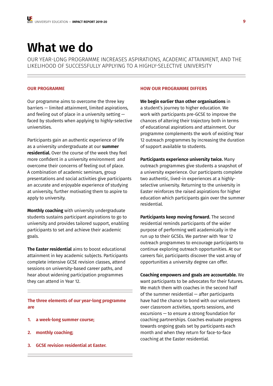## **What we do**

OUR YEAR-LONG PROGRAMME INCREASES ASPIRATIONS, ACADEMIC ATTAINMENT, AND THE LIKELIHOOD OF SUCCESSFULLY APPLYING TO A HIGHLY-SELECTIVE UNIVERSITY

#### **OUR PROGRAMME**

Our programme aims to overcome the three key barriers — limited attainment, limited aspirations, and feeling out of place in a university setting faced by students when applying to highly-selective universities.

Participants gain an authentic experience of life as a university undergraduate at our **summer residential.** Over the course of the week they feel more confident in a university environment and overcome their concerns of feeling out of place. A combination of academic seminars, group presentations and social activities give participants an accurate and enjoyable experience of studying at university, further motivating them to aspire to apply to university.

**Monthly coaching** with university undergraduate students sustains participant aspirations to go to university and provides tailored support, enabling participants to set and achieve their academic goals.

**The Easter residential** aims to boost educational attainment in key academic subjects. Participants complete intensive GCSE revision classes, attend sessions on university-based career paths, and hear about widening participation programmes they can attend in Year 12.

**The three elements of our year-long programme are**

- **1. a week-long summer course;**
- **2. monthly coaching;**
- **3. GCSE revision residential at Easter.**

#### **HOW OUR PROGRAMME DIFFERS**

**We begin earlier than other organisations** in a student's journey to higher education. We work with participants pre-GCSE to improve the chances of altering their trajectory both in terms of educational aspirations and attainment. Our programme complements the work of existing Year 12 outreach programmes by increasing the duration of support available to students.

**Participants experience university twice.** Many outreach programmes give students a snapshot of a university experience. Our participants complete two authentic, lived-in experiences at a highlyselective university. Returning to the university in Easter reinforces the raised aspirations for higher education which participants gain over the summer residential.

**Participants keep moving forward.** The second residential reminds participants of the wider purpose of performing well academically in the run up to their GCSEs. We partner with Year 12 outreach programmes to encourage participants to continue exploring outreach opportunities. At our careers fair, participants discover the vast array of opportunities a university degree can offer.

**Coaching empowers and goals are accountable.** We want participants to be advocates for their futures. We match them with coaches in the second half of the summer residential — after participants have had the chance to bond with our volunteers over classroom activities, sports sessions, and excursions — to ensure a strong foundation for coaching partnerships. Coaches evaluate progress towards ongoing goals set by participants each month and when they return for face-to-face coaching at the Easter residential.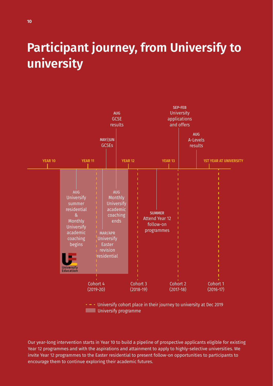# **Participant journey, from Universify to university**



 $-$  - Universify cohort place in their journey to university at Dec 2019 **Universify programme** 

Our year-long intervention starts in Year 10 to build a pipeline of prospective applicants eligible for existing Year 12 programmes and with the aspirations and attainment to apply to highly-selective universities. We invite Year 12 programmes to the Easter residential to present follow-on opportunities to participants to encourage them to continue exploring their academic futures.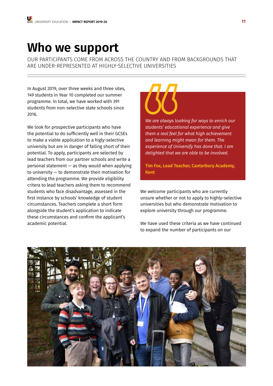### **Who we support**

OUR PARTICIPANTS COME FROM ACROSS THE COUNTRY AND FROM BACKGROUNDS THAT ARE UNDER-REPRESENTED AT HIGHLY-SELECTIVE UNIVERSITIES

In August 2019, over three weeks and three sites, 149 students in Year 10 completed our summer programme. In total, we have worked with 391 students from non-selective state schools since 2016.

We look for prospective participants who have the potential to do sufficiently well in their GCSEs to make a viable application to a higly-selective university but are in danger of falling short of their potential. To apply, participants are selected by lead teachers from our partner schools and write a personal statement  $-$  as they would when applying to university — to demonstrate their motivation for attending the programme. We provide eligibility critera to lead teachers asking them to recommend students who face disadvantage, assessed in the first instance by schools' knowledge of student circumstances. Teachers complete a short form alongside the student's application to indicate these circumstances and confirm the applicant's academic potential.

*We are always looking for ways to enrich our students' educational experience and give them a real feel for what high achievement and learning might mean for them. The experience of Universify has done that. I am delighted that we are able to be involved.*

**Tim Fox, Lead Teacher, Canterbury Academy, Kent**

We welcome participants who are currently unsure whether or not to apply to highly-selective universities but who demonstrate motivation to explore university through our programme.

We have used these criteria as we have continued to expand the number of participants on our

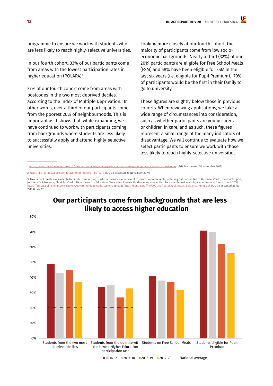programme to ensure we work with students who are less likely to reach highly-selective universities.

In our fourth cohort, 33% of our participants come from areas with the lowest participation rates in higher education (POLAR4).<sup>1</sup>

37% of our fourth cohort come from areas with postcodes in the two most deprived deciles, according to the Index of Multiple Deprivation.2 In other words, over a third of our participants come from the poorest 20% of neighbourhoods. This is important as it shows that, while expanding, we have continued to work with participants coming from backgrounds where students are less likely to successfully apply and attend highly-selective universities.

Looking more closely at our fourth cohort, the majority of participants come from low socioeconomic backgrounds. Nearly a third (32%) of our 2019 participants are eligible for Free School Meals (FSM) and 58% have been eligible for FSM in the last six years (i.e. eligible for Pupil Premium).3 70% of participants would be the first in their family to go to university.

These figures are slightly below those in previous cohorts. When reviewing applications, we take a wide range of circumstances into consideration, such as whether participants are young carers or children in care, and as such, these figures represent a small range of the many indicators of disadvantage. We will continue to evaluate how we select participants to ensure we work with those less likely to reach highly-selective universities.

1 https://www.officeforstudents.org.uk/data-and-analysis/young-participation-by-area/young-participation-by-postcode/. (Article accessed 28 November 2019)

2 http://imd-by-postcode.opendatacommunities.org/imd/2019. (Article accessed 28 November 2019)

3 'Free school meals are available to pupils in receipt of, or whose parents are in receipt of, one or more benefits, including but not limited to Universal Credit, Income Support, Jobseeker's Allowance, Child Tax Credit.' Department for Education, 'Free school meals. Guidance for local authorities, maintained schools, academies and free schools', 2018. https://assets.publishing.service.gov.uk/government/uploads/system/uploads/attachment\_data/file/700139/Free\_school\_meals\_guidance\_Apr18.pdf. (Article accessed 28 November 2019)



### **Our participants come from backgrounds that are less likely to access higher education**

 $\blacksquare$  2016-17  $\blacksquare$  2017-18  $\blacksquare$  2018-19  $\blacksquare$  2019-20 --National average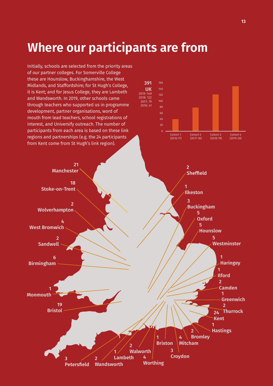### **Where our participants are from**

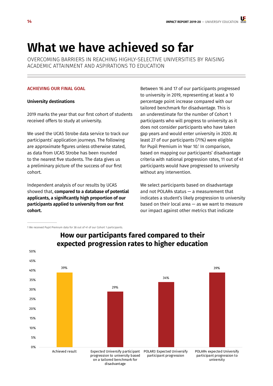## **What we have achieved so far**

OVERCOMING BARRIERS IN REACHING HIGHLY-SELECTIVE UNIVERSITIES BY RAISING ACADEMIC ATTAINMENT AND ASPIRATIONS TO EDUCATION

#### **ACHIEVING OUR FINAL GOAL**

#### **University destinations**

2019 marks the year that our first cohort of students received offers to study at university.

We used the UCAS Strobe data service to track our participants' application journeys. The following are approximate figures unless otherwise stated, as data from UCAS Strobe has been rounded to the nearest five students. The data gives us a preliminary picture of the success of our first cohort.

Independent analysis of our results by UCAS showed that, **compared to a database of potential applicants, a significantly high proportion of our participants applied to university from our first cohort.**

Between 16 and 17 of our participants progressed to university in 2019, representing at least a 10 percentage point increase compared with our tailored benchmark for disadvantage. This is an underestimate for the number of Cohort 1 participants who will progress to university as it does not consider participants who have taken gap years and would enter university in 2020. At least 27 of our participants (71%) were eligible for Pupil Premium in Year 10.1 In comparison, based on mapping our participants' disadvantage criteria with national progression rates, 11 out of 41 participants would have progressed to university without any intervention.

We select participants based on disadvantage and not POLAR4 status — a measurement that indicates a student's likely progression to university based on their local area — as we want to measure our impact against other metrics that indicate

1 We received Pupil Premium data for 38 out of 41 of our Cohort 1 participants.



### **How our participants fared compared to their expected progression rates to higher education**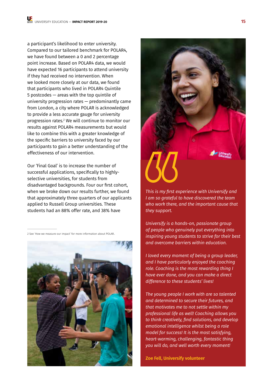a participant's likelihood to enter university. Compared to our tailored benchmark for POLAR4, we have found between a 0 and 2 percentage point increase. Based on POLAR4 data, we would have expected 16 participants to attend university if they had received no intervention. When we looked more closely at our data, we found that participants who lived in POLAR4 Quintile 5 postcodes — areas with the top quintile of university progression rates — predominantly came from London, a city where POLAR is acknowledged to provide a less accurate gauge for university progression rates.2 We will continue to monitor our results against POLAR4 measurements but would like to combine this with a greater knowledge of the specific barriers to university faced by our participants to gain a better understanding of the effectiveness of our intervention.

Our 'Final Goal' is to increase the number of successful applications, specifically to highlyselective universities, for students from disadvantaged backgrounds. Four our first cohort, when we broke down our results further, we found that approximately three quarters of our applicants applied to Russell Group universities. These students had an 88% offer rate, and 38% have

2 See 'How we measure our impact' for more information about POLAR..





*This is my first experience with Universify and I am so grateful to have discovered the team who work there, and the important cause that they support.*

*Universify is a hands-on, passionate group of people who genuinely put everything into inspiring young students to strive for their best and overcome barriers within education.* 

*I loved every moment of being a group leader, and I have particularly enjoyed the coaching role. Coaching is the most rewarding thing I have ever done, and you can make a direct difference to these students' lives!*

*The young people I work with are so talented and determined to secure their futures, and that motivates me to not settle within my professional life as well! Coaching allows you to think creatively, find solutions, and develop emotional intelligence whilst being a role model for success! It is the most satisfying, heart-warming, challenging, fantastic thing you will do, and well worth every moment!*

**Zoe Fell, Universify volunteer**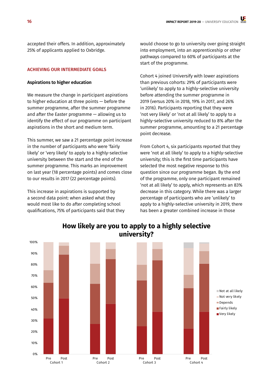accepted their offers. In addition, approximately 25% of applicants applied to Oxbridge.

#### **ACHIEVING OUR INTERMEDIATE GOALS**

#### **Aspirations to higher education**

We measure the change in participant aspirations to higher education at three points — before the summer programme, after the summer programme and after the Easter programme — allowing us to identify the effect of our programme on participant aspirations in the short and medium term.

This summer, we saw a 21 percentage point increase in the number of participants who were 'fairly likely' or 'very likely' to apply to a highly-selective university between the start and the end of the summer programme. This marks an improvement on last year (18 percentage points) and comes close to our results in 2017 (22 percentage points).

This increase in aspirations is supported by a second data point: when asked what they would most like to do after completing school qualifications, 75% of participants said that they would choose to go to university over going straight into employment, into an apprenticeship or other pathways compared to 60% of participants at the start of the programme.

Cohort 4 joined Universify with lower aspirations than previous cohorts: 29% of participants were 'unlikely' to apply to a highly-selective university before attending the summer programme in 2019 (versus 20% in 2018, 19% in 2017, and 26% in 2016). Participants reporting that they were 'not very likely' or 'not at all likely' to apply to a highly-selective university reduced to 8% after the summer programme, amounting to a 21 percentage point decrease.

From Cohort 4, six participants reported that they were 'not at all likely' to apply to a highly-selective university; this is the first time participants have selected the most negative response to this question since our programme began. By the end of the programme, only one participant remained 'not at all likely' to apply, which represents an 83% decrease in this category. While there was a larger percentage of participants who are 'unlikely' to apply to a highly-selective university in 2019, there has been a greater combined increase in those



### **How likely are you to apply to a highly selective university?**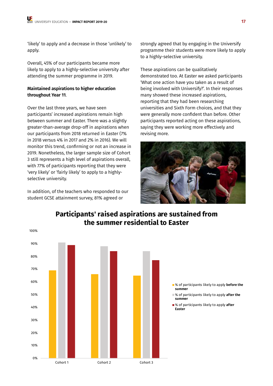'likely' to apply and a decrease in those 'unlikely' to apply.

Overall, 45% of our participants became more likely to apply to a highly-selective university after attending the summer programme in 2019.

#### **Maintained aspirations to higher education throughout Year 11**.

Over the last three years, we have seen participants' increased aspirations remain high between summer and Easter. There was a slightly greater-than-average drop-off in aspirations when our participants from 2018 returned in Easter (7% in 2018 versus 4% in 2017 and 2% in 2016). We will monitor this trend, confirming or not an increase in 2019. Nonetheless, the larger sample size of Cohort 3 still represents a high level of aspirations overall, with 77% of participants reporting that they were 'very likely' or 'fairly likely' to apply to a highlyselective university.

In addition, of the teachers who responded to our student GCSE attainment survey, 81% agreed or

strongly agreed that by engaging in the Universify programme their students were more likely to apply to a highly-selective university.

These aspirations can be qualitatively demonstrated too. At Easter we asked participants 'What one action have you taken as a result of being involved with Universify?'. In their responses many showed these increased aspirations, reporting that they had been researching universities and Sixth Form choices, and that they were generally more confident than before. Other participants reported acting on these aspirations, saying they were working more effectively and revising more.





### **Participants' raised aspirations are sustained from the summer residential to Easter**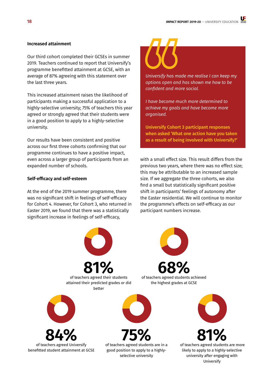#### **Increased attainment**

Our third cohort completed their GCSEs in summer 2019. Teachers continued to report that Universify's programme benefitted attainment at GCSE, with an average of 87% agreeing with this statement over the last three years.

This increased attainment raises the likelihood of participants making a successful application to a highly-selective university; 75% of teachers this year agreed or strongly agreed that their students were in a good position to apply to a highly-selective university.

Our results have been consistent and positive across our first three cohorts confirming that our programme continues to have a positive impact, even across a larger group of participants from an expanded number of schools.

### **Self-efficacy and self-esteem**

At the end of the 2019 summer programme, there was no significant shift in feelings of self-efficacy for Cohort 4. However, for Cohort 3, who returned in Easter 2019, we found that there was a statistically significant increase in feelings of self-efficacy,



*Universify has made me realise I can keep my options open and has shown me how to be confident and more social.*

*I have become much more determined to achieve my goals and have become more organised.*

**Universify Cohort 3 participant responses when asked 'What one action have you taken as a result of being involved with Universify?'** 

with a small effect size. This result differs from the previous two years, where there was no effect size; this may be attributable to an increased sample size. If we aggregate the three cohorts, we also find a small but statistically significant positive shift in participants' feelings of autonomy after the Easter residential. We will continue to monitor the programme's effects on self-efficacy as our participant numbers increase.

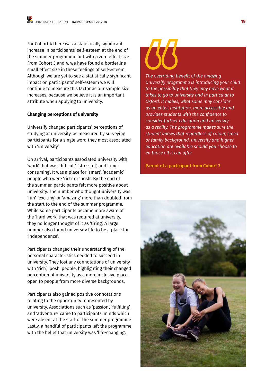For Cohort 4 there was a statistically significant increase in participants' self-esteem at the end of the summer programme but with a zero effect size. From Cohort 3 and 4, we have found a borderline small effect size in these feelings of self-esteem. Although we are yet to see a statistically significant impact on participants' self-esteem we will continue to measure this factor as our sample size increases, because we believe it is an important attribute when applying to university.

#### **Changing perceptions of university**

Universify changed participants' perceptions of studying at university, as measured by surveying participants for a single word they most associated with 'university'.

On arrival, participants associated university with 'work' that was 'difficult', 'stressful', and 'timeconsuming'. It was a place for 'smart', 'academic' people who were 'rich' or 'posh'. By the end of the summer, participants felt more positive about university. The number who thought university was 'fun', 'exciting' or 'amazing' more than doubled from the start to the end of the summer programme. While some participants became more aware of the 'hard work' that was required at university, they no longer thought of it as 'tiring'. A large number also found university life to be a place for 'independence'.

Participants changed their understanding of the personal characteristics needed to succeed in university. They lost any connotations of university with 'rich', 'posh' people, highlighting their changed perception of university as a more inclusive place, open to people from more diverse backgrounds.

Participants also gained positive connotations relating to the opportunity represented by university. Associations such as 'passion', 'fulfilling', and 'adventure' came to participants' minds which were absent at the start of the summer programme. Lastly, a handful of participants left the programme with the belief that university was 'life-changing'.

*The overriding benefit of the amazing Universify programme is introducing your child to the possibility that they may have what it takes to go to university and in particular to Oxford. It makes, what some may consider as an elitist institution, more accessible and provides students with the confidence to consider further education and university as a reality. The programme makes sure the student knows that regardless of colour, creed or family background, university and higher education are available should you choose to embrace all it can offer.*

**Parent of a participant from Cohort 3** 

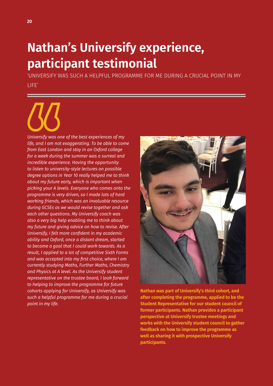# **Nathan's Universify experience, participant testimonial**

'UNIVERSIFY WAS SUCH A HELPFUL PROGRAMME FOR ME DURING A CRUCIAL POINT IN MY LIFE'

*Universify was one of the best experiences of my life, and I am not exaggerating. To be able to come from East London and stay in an Oxford college for a week during the summer was a surreal and incredible experience. Having the opportunity to listen to university-style lectures on possible degree options in Year 10 really helped me to think about my future early, which is important when picking your A levels. Everyone who comes onto the programme is very driven, so I made lots of hard working friends, which was an invaluable resource during GCSEs as we would revise together and ask each other questions. My Universify coach was also a very big help enabling me to think about my future and giving advice on how to revise. After Universify, I felt more confident in my academic ability and Oxford, once a distant dream, started to become a goal that I could work towards. As a result, I applied to a lot of competitive Sixth Forms and was accepted into my first choice, where I am currently studying Maths, Further Maths, Chemistry and Physics at A level. As the Universify student representative on the trustee board, I look forward to helping to improve the programme for future cohorts applying for Universify, as Universify was such a helpful programme for me during a crucial point in my life.*



**Nathan was part of Universify's third cohort, and after completing the programme, applied to be the Student Representative for our student council of former participants. Nathan provides a participant perspective at Universify trustee meetings and works with the Universify student council to gather feedback on how to improve the programme as well as sharing it with prospective Universify participants.**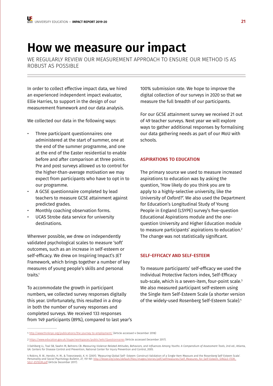## **How we measure our impact**

WE REGULARLY REVIEW OUR MEASUREMENT APPROACH TO ENSURE OUR METHOD IS AS ROBUST AS POSSIBLE

In order to collect effective impact data, we hired an experienced independent impact evaluator, Ellie Harries, to support in the design of our measurement framework and our data analysis.

We collected our data in the following ways:

- Three participant questionnaires: one administered at the start of summer, one at the end of the summer programme, and one at the end of the Easter residential to enable before and after comparison at three points. Pre and post surveys allowed us to control for the higher-than-average motivation we may expect from participants who have to opt in to our programme.
- A GCSE questionnaire completed by lead teachers to measure GCSE attainment against predicted grades.
- Monthly coaching observation forms.
- UCAS Strobe data service for university destinations.

Wherever possible, we drew on independently validated psychological scales to measure 'soft' outcomes, such as an increase in self-esteem or self-efficacy. We drew on Inspiring Impact's JET Framework, which brings together a number of key measures of young people's skills and personal traits.<sup>1</sup>

To accommodate the growth in participant numbers, we collected survey responses digitally this year. Unfortunately, this resulted in a drop in both the number of survey responses and completed surveys. We received 133 responses from 149 participants (89%), compared to last year's 100% submission rate. We hope to improve the digital collection of our surveys in 2020 so that we measure the full breadth of our participants.

For our GCSE attainment survey we received 21 out of 49 teacher surveys. Next year we will explore ways to gather additional responses by formalising our data gathering needs as part of our MoU with schools.

#### **ASPIRATIONS TO EDUCATION**

The primary source we used to measure increased aspirations to education was by asking the question, 'How likely do you think you are to apply to a highly-selective university, like the University of Oxford?'. We also used the Department for Education's Longitudinal Study of Young People in England (LSYPE) survey's five-question Educational Aspirations module and the onequestion University and Higher Education module to measure participants' aspirations to education.<sup>2</sup> The change was not statistically significant.

#### **SELF-EFFICACY AND SELF-ESTEEM**

To measure participants' self-efficacy we used the Individual Protective Factors index, Self-Efficacy sub-scale, which is a seven-item, four-point scale.<sup>3</sup> We also measured participant self-esteem using the Single Item Self-Esteem Scale (a shorter version of the widely-used Rosenberg Self-Esteem Scale).4

<sup>1</sup> http://www.thinknpc.org/publications/the-journey-to-employment/ (Article accessed 4 December 2018)

<sup>2</sup> https://www.education.gov.uk/ilsype/workspaces/public/wiki/Questionnaires (Article accessed December 2017).

<sup>3</sup> Dahlberg LL, Toal SB, Swahn M, Behrens CB. *Measuring Violence-Related Attitudes, Behaviors, and Influences Among Youths: A Compendium of Assessment Tools*, 2nd ed., Atlanta, GA: Centers for Disease Control and Prevention, National Center for Injury Prevention and Control, 2005.

<sup>4</sup> Robins, R. W., Hendin, H. M., & Trzesniewski, K. H. (2001). 'Measuring Global Self- Esteem: Construct Validation of a Single-Item Measure and the Rosenberg Self-Esteem Scale'.<br>*Personality and Social Psychology Bulletin,* SELF-ESTEEM.pdf (Article December 2017).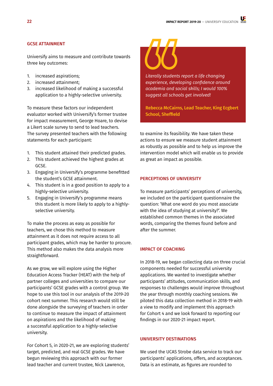### **GCSE ATTAINMENT**

Universify aims to measure and contribute towards three key outcomes:

- 1. increased aspirations;
- 2. increased attainment;
- 3. increased likelihood of making a successful application to a highly-selective university.

To measure these factors our independent evaluator worked with Universify's former trustee for impact measurement, George Hoare, to devise a Likert scale survey to send to lead teachers. The survey presented teachers with the following statements for each participant:

- 1. This student attained their predicted grades.
- 2. This student achieved the highest grades at GCSE.
- 3. Engaging in Universify's programme benefitted the student's GCSE attainment.
- 4. This student is in a good position to apply to a highly-selective university.
- 5. Engaging in Universify's programme means this student is more likely to apply to a highlyselective university.

To make the process as easy as possible for teachers, we chose this method to measure attainment as it does not require access to all participant grades, which may be harder to procure. This method also makes the data analysis more straightforward.

As we grow, we will explore using the Higher Education Access Tracker (HEAT) with the help of partner colleges and universities to compare our participants' GCSE grades with a control group. We hope to use this tool in our analysis of the 2019-20 cohort next summer. This research would still be done alongside the surveying of teachers in order to continue to measure the impact of attainment on aspirations and the likelihood of making a successful application to a highly-selective university.

For Cohort 5, in 2020-21, we are exploring students' target, predicted, and real GCSE grades. We have begun reviewing this approach with our former lead teacher and current trustee, Nick Lawrence,



*Literally students report a life changing experience, developing confidence around academia and social skills; I would 100% suggest all schools get involved!*

**Rebecca McCairns, Lead Teacher, King Ecgbert School, Sheffield**

to examine its feasibility. We have taken these actions to ensure we measure student attainment as robustly as possible and to help us improve the intervention model which will enable us to provide as great an impact as possible.

### **PERCEPTIONS OF UNIVERSITY**

To measure participants' perceptions of university, we included on the participant questionnaire the question: 'What one word do you most associate with the idea of studying at university?'. We established common themes in the associated words, comparing the themes found before and after the summer.

### **IMPACT OF COACHING**

In 2018-19, we began collecting data on three crucial components needed for successful university applications. We wanted to investigate whether participants' attitudes, communication skills, and responses to challenges would improve throughout the year through monthly coaching sessions. We piloted this data collection method in 2018-19 with a view to modify and implement this approach for Cohort 4 and we look forward to reporting our findings in our 2020-21 impact report.

#### **UNIVERSITY DESTINATIONS**

We used the UCAS Strobe data service to track our participants' applications, offers, and acceptances. Data is an estimate, as figures are rounded to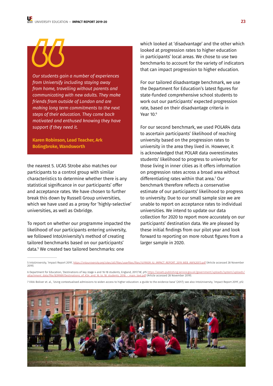

*Our students gain a number of experiences from Universify including staying away from home, travelling without parents and communicating with new adults. They make friends from outside of London and are making long term commitments to the next steps of their education. They come back motivated and enthused knowing they have support if they need it.*

**Karen Robinson, Lead Teacher, Ark Bolingbroke, Wandsworth**

the nearest 5. UCAS Strobe also matches our participants to a control group with similar characteristics to determine whether there is any statistical significance in our participants' offer and acceptance rates. We have chosen to further break this down by Russell Group universities, which we have used as a proxy for 'highly-selective' universities, as well as Oxbridge.

To report on whether our programme impacted the likelihood of our participants entering university, we followed IntoUniversity's method of creating tailored benchmarks based on our participants' data.5 We created two tailored benchmarks: one

which looked at 'disadvantage' and the other which looked at progression rates to higher education in participants' local areas. We chose to use two benchmarks to account for the variety of indicators that can impact progression to higher education.

For our tailored disadvantage benchmark, we use the Department for Education's latest figures for state-funded comprehensive school students to work out our participants' expected progression rate, based on their disadvantage criteria in Year 10.<sup>6</sup>

For our second benchmark, we used POLAR4 data to ascertain participants' likelihood of reaching university based on the progression rates to university in the area they lived in. However, it is acknowledged that POLAR data overestimates students' likelihood to progress to university for those living in inner cities as it offers information on progression rates across a broad area without differentiating rates within that area.7 Our benchmark therefore reflects a conservative estimate of our participants' likelihood to progress to university. Due to our small sample size we are unable to report on acceptance rates to individual universities. We intend to update our data collection for 2020 to report more accurately on our participants' destination data. We are pleased by these initial findings from our pilot year and look forward to reporting on more robust figures from a larger sample in 2020.

5 IntoUniversity, 'Impact Report 2019', https://intouniversity.org/sites/all/files/userfiles/files/IU19009\_IU\_IMPACT\_REPORT\_2019\_WEB\_AW%20(1).pdf (Article accessed 28 November  $2010$ 

6 Department for Education, 'Destinations of key stage 4 and 16-18 students, England, 2017/18', p15 https://assets.publishing.service.gov.uk/government/uploads/system/uploads/<br>attachment\_data/file/839989/Destinations\_of\_KS attachment\_data/file/839989/Destinations\_of\_KS4\_and\_16\_to\_18\_students\_2018



7 Vikki Boliver et. al., 'Using contextualised admissions to widen access to higher education: a guide to the evidence base' (2017); see also IntoUniversity, 'Impact Report 2019', p12.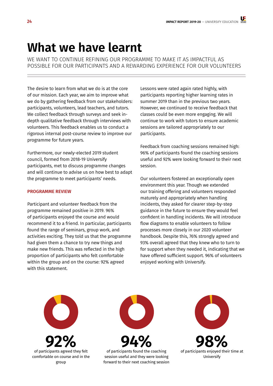### **What we have learnt**

WE WANT TO CONTINUE REFINING OUR PROGRAMME TO MAKE IT AS IMPACTFUL AS POSSIBLE FOR OUR PARTICIPANTS AND A REWARDING EXPERIENCE FOR OUR VOLUNTEERS

The desire to learn from what we do is at the core of our mission. Each year, we aim to improve what we do by gathering feedback from our stakeholders: participants, volunteers, lead teachers, and tutors. We collect feedback through surveys and seek indepth qualitative feedback through interviews with volunteers. This feedback enables us to conduct a rigorous internal post-course review to improve our programme for future years.

Furthermore, our newly-elected 2019 student council, formed from 2018-19 Universify participants, met to discuss programme changes and will continue to advise us on how best to adapt the programme to meet participants' needs.

#### **PROGRAMME REVIEW**

Participant and volunteer feedback from the programme remained positive in 2019. 96% of participants enjoyed the course and would recommend it to a friend. In particular, participants found the range of seminars, group work, and activities exciting. They told us that the programme had given them a chance to try new things and make new friends. This was reflected in the high proportion of participants who felt comfortable within the group and on the course: 92% agreed with this statement.

Lessons were rated again rated highly, with participants reporting higher learning rates in summer 2019 than in the previous two years. However, we continued to receive feedback that classes could be even more engaging. We will continue to work with tutors to ensure academic sessions are tailored appropriately to our participants.

Feedback from coaching sessions remained high: 96% of participants found the coaching sessions useful and 92% were looking forward to their next session.

Our volunteers fostered an exceptionally open environment this year. Though we extended our training offering and volunteers responded maturely and appropriately when handling incidents, they asked for clearer step-by-step guidance in the future to ensure they would feel confident in handling incidents. We will introduce flow diagrams to enable volunteers to follow processes more closely in our 2020 volunteer handbook. Despite this, 76% strongly agreed and 93% overall agreed that they knew who to turn to for support when they needed it, indicating that we have offered sufficient support. 96% of volunteers enjoyed working with Universify.

of participants agreed they felt comfortable on course and in the group



session useful and they were looking forward to their next coaching session

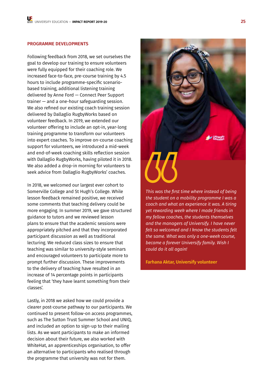#### **PROGRAMME DEVELOPMENTS**

Following feedback from 2018, we set ourselves the goal to develop our training to ensure volunteers were fully equipped for their coaching role. We increased face-to-face, pre-course training by 4.5 hours to include programme-specific scenariobased training, additional listening training delivered by Anne Ford — Connect Peer Support trainer — and a one-hour safeguarding session. We also refined our existing coach training session delivered by Dallaglio RugbyWorks based on volunteer feedback. In 2019, we extended our volunteer offering to include an opt-in, year-long training programme to transform our volunteers into expert coaches. To improve on-course coaching support for volunteers, we introduced a mid-week and end-of-week coaching skills reflection session with Dallaglio RugbyWorks, having piloted it in 2018. We also added a drop-in morning for volunteers to seek advice from Dallaglio RugbyWorks' coaches.

In 2018, we welcomed our largest ever cohort to Somerville College and St Hugh's College. While lesson feedback remained positive, we received some comments that teaching delivery could be more engaging. In summer 2019, we gave structured guidance to tutors and we reviewed lesson plans to ensure that the academic sessions were appropriately pitched and that they incorporated participant discussion as well as traditional lecturing. We reduced class sizes to ensure that teaching was similar to university-style seminars and encouraged volunteers to participate more to prompt further discussion. These improvements to the delivery of teaching have resulted in an increase of 14 percentage points in participants feeling that 'they have learnt something from their classes'.

Lastly, in 2018 we asked how we could provide a clearer post-course pathway to our participants. We continued to present follow-on access programmes, such as The Sutton Trust Summer School and UNIQ, and included an option to sign-up to their mailing lists. As we want participants to make an informed decision about their future, we also worked with WhiteHat, an apprenticeships organisation, to offer an alternative to participants who realised through the programme that university was not for them.



*the student on a mobility programme I was a coach and what an experience it was. A tiring yet rewarding week where I made friends in my fellow coaches, the students themselves and the managers of Universify. I have never felt so welcomed and I know the students felt the same. What was only a one-week course, became a forever Universify family. Wish I could do it all again!*

**Farhana Aktar, Universify volunteer**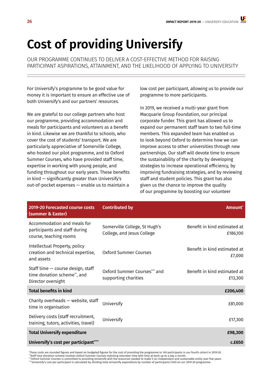# **Cost of providing Universify**

OUR PROGRAMME CONTINUES TO DELIVER A COST-EFFECTIVE METHOD FOR RAISING PARTICIPANT ASPIRATIONS, ATTAINMENT, AND THE LIKELIHOOD OF APPLYING TO UNIVERSITY

For Universify's programme to be good value for money it is important to ensure an effective use of both Universify's and our partners' resources.

We are grateful to our college partners who host our programme, providing accommodation and meals for participants and volunteers as a benefit in kind. Likewise we are thankful to schools, who cover the cost of students' transport. We are particularly appreciative of Somerville College, who hosted our pilot programme, and to Oxford Summer Courses, who have provided staff time, expertise in working with young people, and funding throughout our early years. These benefits in kind — significantly greater than Universify's out-of-pocket expenses — enable us to maintain a

low cost per participant, allowing us to provide our programme to more participants.

In 2019, we received a multi-year grant from Macquarie Group Foundation, our principal corporate funder. This grant has allowed us to expand our permanent staff team to two full-time members. This expanded team has enabled us to look beyond Oxford to determine how we can improve access to other universities through new partnerships. Our staff will devote time to ensure the sustainability of the charity by developing strategies to increase operational efficiency, by improving fundraising strategies, and by reviewing staff and student policies. This grant has also given us the chance to improve the quality of our programme by boosting our volunteer

| 2019-20 Forecasted course costs<br>(summer & Easter)                                     | <b>Contributed by</b>                                       | Amount*                                  |
|------------------------------------------------------------------------------------------|-------------------------------------------------------------|------------------------------------------|
| Accommodation and meals for<br>participants and staff during<br>course, teaching rooms   | Somerville College, St Hugh's<br>College, and Jesus College | Benefit in kind estimated at<br>£186,100 |
| Intellectual Property, policy<br>creation and technical expertise,<br>and assets         | Oxford Summer Courses                                       | Benefit in kind estimated at<br>£7,000   |
| Staff time $-$ course design, staff<br>time donation scheme**, and<br>Director oversight | Oxford Summer Courses*** and<br>supporting charities        | Benefit in kind estimated at<br>£13,300  |
| <b>Total benefits in kind</b>                                                            |                                                             | £206,400                                 |
| Charity overheads $-$ website, staff<br>time in organisation                             | Universify                                                  | £81,000                                  |
| Delivery costs (staff recruitment,<br>training, tutors, activities, travel)              | Universify                                                  | £17,300                                  |
| <b>Total Universify expenditure</b>                                                      |                                                             | £98,300                                  |
| Universify's cost per participant****                                                    |                                                             | c.f650                                   |

\* These costs are rounded figures and based on budgeted figures for the cost of providing the programme to 149 participants in our fourth cohort in 2019-20. "Staff time donation scheme involves Oxford Summer Courses matching volunteer time with time at work up to a day a month.<br>""Oxford Summer Courses is committed to providing Universify with the resources needed to make it an

\*\*\*\*Universify's cost per participant is calculated by dividing total Universify expenditure by number of participants (149) on our 2019-20 programme.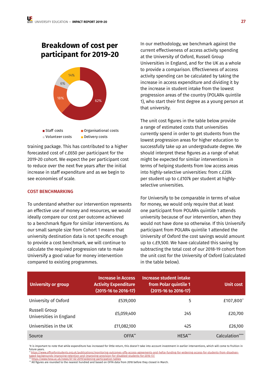### **Breakdown of cost per participant for 2019-20**



training package. This has contributed to a higher forecasted cost of c.£650 per participant for the 2019-20 cohort. We expect the per participant cost to reduce over the next five years after the initial increase in staff expenditure and as we begin to see economies of scale.

#### **COST BENCHMARKING**

To understand whether our intervention represents an effective use of money and resources, we would ideally compare our cost per outcome achieved to a benchmark figure for similar interventions. As our small sample size from Cohort 1 means that university destination data is not specific enough to provide a cost benchmark, we will continue to calculate the required progression rate to make Universify a good value for money intervention compared to existing programmes.

In our methodology, we benchmark against the current effectiveness of access activity spending at the University of Oxford, Russell Group Universities in England, and for the UK as a whole to provide a comparison. Effectiveness of access activity spending can be calculated by taking the increase in access expenditure and dividing it by the increase in student intake from the lowest progression areas of the country (POLAR4 quintile 1), who start their first degree as a young person at that university.

The unit cost figures in the table below provide a range of estimated costs that universities currently spend in order to get students from the lowest progression areas for higher education to successfully take up an undergraduate degree. We should interpret these figures as a range of what might be expected for similar interventions in terms of helping students from low access areas into highly-selective universities: from c.£20k per student up to c.£107k per student at highlyselective universities.

For Universify to be comparable in terms of value for money, we would only require that at least one participant from POLAR4 quintile 1 attends university because of our intervention, when they would not have done so otherwise. If this Universify participant from POLAR4 quintile 1 attended the University of Oxford the cost savings would amount up to c.£9,500. We have calculated this saving by subtracting the total cost of our 2018-19 cohort from the unit cost for the University of Oxford (calculated in the table below).

| <b>University or group</b>               | <b>Increase in Access</b><br><b>Activity Expenditure</b><br>(2015-16 to 2016-17) | <b>Increase student intake</b><br>from Polar quintile 1<br>(2015-16 to 2016-17) | Unit cost       |
|------------------------------------------|----------------------------------------------------------------------------------|---------------------------------------------------------------------------------|-----------------|
| University of Oxford                     | £539,000                                                                         | 5                                                                               | £107,800*       |
| Russell Group<br>Universities in England | £5,059,400                                                                       | 245                                                                             | £20,700         |
| Universities in the UK                   | £11,082,100                                                                      | 425                                                                             | £26,100         |
| Source                                   | $OFFA**$                                                                         | HESA***                                                                         | Calculation**** |

\* It is important to note that while expenditure has increased for little return, this doesn't take into account investment in earlier interventions, which will come to fruition in future years. \*\* https://www.officeforstudents.org.uk/publications/monitoring-outcomes-offa-access-agreements-and-hefce-funding-for-widening-access-for-students-from-disadvan-

taged-backgrounds-improving-retention-and-improving-provision-for-disabled-students-for-2016-17/<br>\*\* https://www.hesa.ac.uk/news/07-02-2019/widening-participation-tables

\*\*\* All figures are rounded to the nearest hundred and based on OFFA data from 2018 before they closed in March.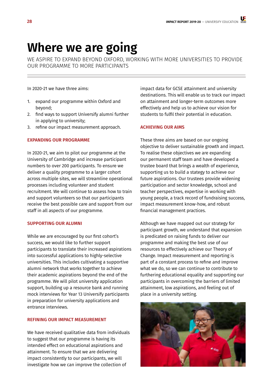# **Where we are going**

WE ASPIRE TO EXPAND BEYOND OXFORD, WORKING WITH MORE UNIVERSITIES TO PROVIDE OUR PROGRAMME TO MORE PARTICIPANTS

#### In 2020-21 we have three aims:

- 1. expand our programme within Oxford and beyond;
- 2. find ways to support Universify alumni further in applying to university;
- 3. refine our impact measurement approach.

#### **EXPANDING OUR PROGRAMME**

In 2020-21, we aim to pilot our programme at the University of Cambridge and increase participant numbers to over 200 participants. To ensure we deliver a quality programme to a larger cohort across multiple sites, we will streamline operational processes including volunteer and student recruitment. We will continue to assess how to train and support volunteers so that our participants receive the best possible care and support from our staff in all aspects of our programme.

#### **SUPPORTING OUR ALUMNI**

While we are encouraged by our first cohort's success, we would like to further support participants to translate their increased aspirations into successful applications to highly-selective universities. This includes cultivating a supportive alumni network that works together to achieve their academic aspirations beyond the end of the programme. We will pilot university application support, building up a resource bank and running mock interviews for Year 13 Universify participants in preparation for university applications and entrance interviews.

#### **REFINING OUR IMPACT MEASUREMENT**

We have received qualitative data from individuals to suggest that our programme is having its intended effect on educational aspirations and attainment. To ensure that we are delivering impact consistently to our participants, we will investigate how we can improve the collection of

impact data for GCSE attainment and university destinations. This will enable us to track our impact on attainment and longer-term outcomes more effectively and help us to achieve our vision for students to fulfil their potential in education.

#### **ACHIEVING OUR AIMS**

These three aims are based on our ongoing objective to deliver sustainable growth and impact. To realise these objectives we are expanding our permanent staff team and have developed a trustee board that brings a wealth of experience, supporting us to build a stategy to achieve our future aspirations. Our trustees provide widening participation and sector knowledge, school and teacher perspectives, expertise in working with young people, a track record of fundraising success, impact measurement know-how, and robust financial management practices.

Although we have mapped out our strategy for participant growth, we understand that expansion is predicated on raising funds to deliver our programme and making the best use of our resources to effectively achieve our Theory of Change. Impact measurement and reporting is part of a constant process to refine and improve what we do, so we can continue to contribute to furthering educational equality and supporting our participants in overcoming the barriers of limited attainment, low aspirations, and feeling out of place in a university setting.

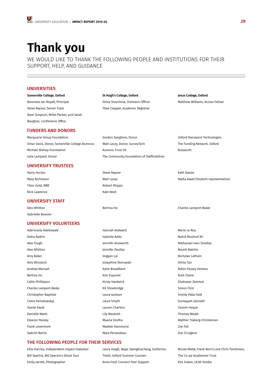## **Thank you**

WE WOULD LIKE TO THANK THE FOLLOWING PEOPLE AND INSTITUTIONS FOR THEIR SUPPORT, HELP, AND GUIDANCE

| St Hugh's College, Oxford                 | Jesus College, Oxford               |
|-------------------------------------------|-------------------------------------|
| Elena Sorochina, Outreach Officer         | Matthew Williams, Access Fellow     |
| Thea Crapper, Academic Registrar          |                                     |
|                                           |                                     |
|                                           |                                     |
|                                           |                                     |
| Gordon Sanghera, Donor                    | Oxford Nanopore Technologies        |
| Matt Lacey, Donor, SurveyTech             | The Funding Network, Oxford         |
| Kusuma Trust UK                           | <b>Buzzacott</b>                    |
| The Community Foundation of Staffordshire |                                     |
|                                           |                                     |
| Steve Rayner                              | <b>Kath Davies</b>                  |
| Matt Lacey                                | Nadia Awad (Student representative) |
| <b>Robert Phipps</b>                      |                                     |
| Kate West                                 |                                     |
|                                           |                                     |
| Bertina Ho                                | Charles Lamport-Beale               |
|                                           |                                     |
|                                           |                                     |
| Hannah Kedward                            | Marie Le Roy                        |
| Isabella Addo                             | Nahid Mushrof Ali                   |
| Jennifer Ainsworth                        | Nathanael Ioan Smalley              |
| Jennifer Paulley                          | Niamh Walshe                        |
| Jingyan Lai                               | Nicholas Latham                     |
| Josephine Skorupski                       | Olivia Tan                          |
| Katie Broadbent                           | Robin Fessey Holmes                 |
| Kim Esquivel                              | <b>Ruth Flame</b>                   |
| Kirsty Hardwick                           | Shahswar Zearmal                    |
| Kit Shoebridge                            | Simon Flint                         |
| Laura Jackson                             | Sneidy Paka-Solé                    |
| Laura Smyth                               | Sumayyah Zannath                    |
| Lauren Charters                           | Tasnim Hoque                        |
|                                           |                                     |

| Aderinsola Adebowale  | Hannah Kedward            | Marie Le Roy                |
|-----------------------|---------------------------|-----------------------------|
| Aisha Nadim           | Isabella Addo             | Nahid Mushrof Ali           |
| Alex Tough            | <b>Iennifer Ainsworth</b> | Nathanael Ioan Smalley      |
| Alex Whitton          | Jennifer Paulley          | Niamh Walshe                |
| Amy Baker             | Jingyan Lai               | Nicholas Latham             |
| Amy Winstock          | Josephine Skorupski       | Olivia Tan                  |
| Andrew Mensah         | Katie Broadbent           | Robin Fessey Holmes         |
| Bertina Ho            | Kim Esquivel              | Ruth Flame                  |
| Callie Phillipson     | Kirsty Hardwick           | Shahswar Zearmal            |
| Charles Lamport-Beale | Kit Shoebridge            | Simon Flint                 |
| Christopher Baptiste  | Laura Jackson             | Sneidy Paka-Solé            |
| Claire Holubowskyj    | Laura Smyth               | Sumayyah Zannath            |
| Daniel Kwok           | Lauren Charters           | Tasnim Hoque                |
| Danielle Watts        | Lily Westcott             | <b>Thomas Weald</b>         |
| Eleanor Paisley       | Maaria Sindhu             | Walther Traberg-Christensen |
| Frank Levermore       | Maddie Hammond            | Zoe Fell                    |
| Gabriel Barrie        | Maia Perraudeau           | Zoe O'Logbon                |
|                       |                           |                             |

#### **THE FOLLOWING PEOPLE FOR THEIR SERVICES**

Ellie Harries, Independent Impact Evaluator Bill Spectre, Bill Spectre's Ghost Tour Emily Jarrett, Photographer

Laura Haigh, Napa Saengkrachang, Guillermo Tirelli, Oxford Summer Courses Anne Ford, Connect Peer Support

Nicola Webb, Frank Norris and Chris Tomlinson, The Co-op Academies Trust Kim Dukes, UCAS Strobe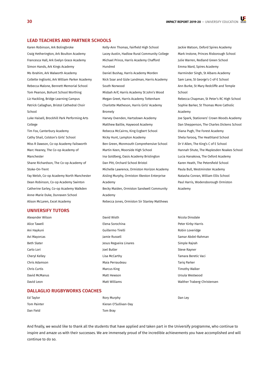#### **LEAD TEACHERS AND PARTNER SCHOOLS**

Karen Robinson, Ark Bolingbroke Craig Hetherington, Ark Boulton Academy Francesca Hall, Ark Evelyn Grace Academy Simon Hands, Ark Kings Academy Ms Ibrahim, Ark Walworth Academy Collette Inglisnki, Ark William Parker Academy Rebecca Malone, Bennett Memorial School Tom Pearson, Bohunt School Worthing Liz Hackling, Bridge Learning Campus Patrick Callaghan, Bristol Cathedral Choir School Luke Haisell, Brockhill Park Performing Arts College Tim Fox, Canterbury Academy Cathy Shail, Colston's Girls' School Miss R Dawson, Co-op Academy Failsworth Marc Heaney, The Co-op Academy of Manchester Shane Richardson, The Co-op Academy of Stoke-On-Trent Fay Welsh, Co-op Academy North Manchester Dean Robinson, Co-op Academy Swinton Catherine Earley, Co-op Academy Walkden Anne-Marie Duke, Dunraven School Alison McLaren, Excel Academy

#### **UNIVERSIFY TUTORS**

| Alexander Wilson    |   |
|---------------------|---|
| <b>Alice Tawell</b> | I |
| Ani Haykuni         |   |
| Avi Mayorcas        |   |
| <b>Beth Slater</b>  | J |
| Carlo Lori          |   |
| Cheryl Kelley       | ı |
| Chris Adamson       | ı |
| Chris Curtis        | ı |
| David McManus       | ı |
| David Leon          |   |

**DALLAGLIO RUGBYWORKS COACHES**

| Rory Murphy           |
|-----------------------|
| Kieran O'Sullivan-Dav |
| Tom Bray              |
|                       |

Lacey Austin, Hadlow Rural Community College Michael Prince, Harris Academy Chafford Hundred Daniel Bushay, Harris Academy Morden Nick Soar and Gizle Landman, Harris Academy South Norwood Misbah Arif, Harris Academy St John's Wood Megan Greet, Harris Academy Tottenham Charlotte Matheson, Harris Girls' Academy Bromely Harvey Ovenden, Hartsdown Academy Matthew Baillie, Haywood Academy Rebecca McCairns, King Ecgbert School Nicky Hunt, Lampton Academy Ben Green, Monmouth Comprehensive School Martin Keen, Moorside High School Ina Goldberg, Oasis Academy Brislington Dan Pitt, Orchard School Bristol Michelle Lawrence, Ormiston Horizon Academy Aisling Murphy, Ormiston Ilkeston Enterprise Academy Becky Maiden, Ormiston Sandwell Community Academy Rebecca Jones, Ormiston Sir Stanley Matthews

Kelly-Ann Thomas, Fairfield High School

David Wisth Elena Sorochina Guillermo Tirelli Jamie Russell Jesus Regueira Linares Joel Butler Lisa McCarthy Maia Perraudeau Marcus King Matt Hewson Matt Williams

Jackie Watson, Oxford Spires Academy Mark Instone, Princes Risborough School Julie Warren, Redland Green School Emma Ward, Spires Academy Harminder Singh, St Albans Academy Sam Lane, St George's C-of-E School Ann Burke, St Mary Redcliffe and Temple School

Rebecca Chapman, St Peter's RC High School Sophie Barker, St Thomas More Catholic Academy

Joe Spark, Stationers' Crown Woods Academy Dan Shepperson, The Charles Dickens School Diana Pugh, The Forest Academy Shela Farooq, The Heathland School Dr V Allen, The King's C of E School Hannah Shute, The Maplesden Noakes School Lucia Hanakova, The Oxford Academy Karen Heath, The Petersfield School Paula Bull, Westminster Academy Natasha Conran, William Ellis School Paul Harris, Wodensborough Ormiston Academy

Nicola Dinsdale Peter Kirby-Harris Robin Loveridge Samar Abdel-Rahman Simple Rajrah Steve Rayner Tamara Beretic Vaci Tariq Parker Timothy Walker Ursula Westwood Walther Traberg-Christensen

Dan Ley

And finally, we would like to thank all the students that have applied and taken part in the Universify programme, who continue to inspire and amaze us with their successes. We are immensely proud of the incredible achievements you have accomplished and will continue to do so.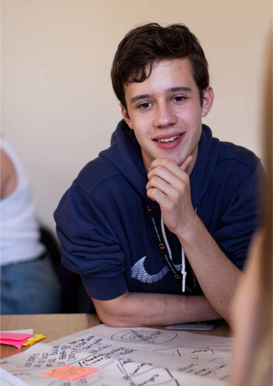